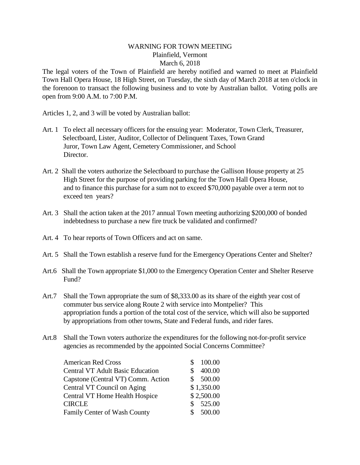## WARNING FOR TOWN MEETING Plainfield, Vermont March 6, 2018

The legal voters of the Town of Plainfield are hereby notified and warned to meet at Plainfield Town Hall Opera House, 18 High Street, on Tuesday, the sixth day of March 2018 at ten o'clock in the forenoon to transact the following business and to vote by Australian ballot. Voting polls are open from 9:00 A.M. to 7:00 P.M.

Articles 1,2, and 3 will be voted by Australian ballot:

- Art. 1 To elect all necessary officers for the ensuing year: Moderator, Town Clerk, Treasurer, Selectboard, Lister, Auditor, Collector of Delinquent Taxes, Town Grand Juror, Town Law Agent, Cemetery Commissioner, and School Director.
- Art. 2 Shall the voters authorize the Selectboard to purchase the Gallison House property at 25 High Street for the purpose of providing parking for the Town Hall Opera House, and to finance this purchase for a sum not to exceed \$70,000 payable over a term not to exceed ten years?
- Art. 3 Shall the action taken at the 2017 annual Town meeting authorizing \$200,000 of bonded indebtedness to purchase a new fire truck be validated and confirmed?
- Art. 4 To hear reports of Town Officers and act on same.
- Art. 5 Shall the Town establish a reserve fund for the Emergency Operations Center and Shelter?
- Art.6 Shall the Town appropriate \$1,000 to the Emergency Operation Center and Shelter Reserve Fund?
- Art.7 Shall the Town appropriate the sum of \$8,333.00 as its share of the eighth year cost of commuter bus service along Route 2 with service into Montpelier? This appropriation funds a portion of the total cost of the service, which will also be supported by appropriations from other towns, State and Federal funds, and rider fares.
- Art.8 Shall the Town voters authorize the expenditures for the following not-for-profit service agencies as recommended by the appointed Social Concerns Committee?

| <b>American Red Cross</b>               | 100.00       |
|-----------------------------------------|--------------|
| <b>Central VT Adult Basic Education</b> | 400.00       |
| Capstone (Central VT) Comm. Action      | \$500.00     |
| Central VT Council on Aging             | \$1,350.00   |
| <b>Central VT Home Health Hospice</b>   | \$2,500.00   |
| CIRCLE                                  | 525.00<br>S. |
| <b>Family Center of Wash County</b>     | 500.00       |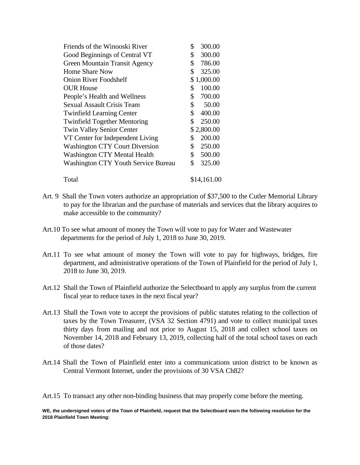| Friends of the Winooski River         | 300.00<br>\$             |
|---------------------------------------|--------------------------|
| Good Beginnings of Central VT         | \$<br>300.00             |
| <b>Green Mountain Transit Agency</b>  | \$<br>786.00             |
| <b>Home Share Now</b>                 | \$<br>325.00             |
| <b>Onion River Foodshelf</b>          | \$1,000.00               |
| <b>OUR House</b>                      | 100.00<br>\$             |
| People's Health and Wellness          | \$<br>700.00             |
| <b>Sexual Assault Crisis Team</b>     | \$<br>50.00              |
| <b>Twinfield Learning Center</b>      | \$<br>400.00             |
| <b>Twinfield Together Mentoring</b>   | \$<br>250.00             |
| <b>Twin Valley Senior Center</b>      | \$2,800.00               |
| VT Center for Independent Living      | 200.00<br>\$             |
| <b>Washington CTY Court Diversion</b> | \$<br>250.00             |
| <b>Washington CTY Mental Health</b>   | $\mathbb{S}^-$<br>500.00 |
| Washington CTY Youth Service Bureau   | \$<br>325.00             |
| Total                                 | \$14,161.00              |

- Art. 9 Shall the Town voters authorize an appropriation of \$37,500 to the Cutler Memorial Library to pay for the librarian and the purchase of materials and services that the library acquires to make accessible to the community?
- Art.10 To see what amount of money the Town will vote to pay for Water and Wastewater departments for the period of July 1, 2018 to June 30, 2019.
- Art.11 To see what amount of money the Town will vote to pay for highways, bridges, fire department, and administrative operations of the Town of Plainfield for the period of July 1, 2018 to June 30, 2019.
- Art.12 Shall the Town of Plainfield authorize the Selectboard to apply any surplus from the current fiscal year to reduce taxes in the next fiscal year?
- Art.13 Shall the Town vote to accept the provisions of public statutes relating to the collection of taxes by the Town Treasurer, (VSA 32 Section 4791) and vote to collect municipal taxes thirty days from mailing and not prior to August 15, 2018 and collect school taxes on November 14, 2018 and February 13, 2019, collecting half of the total school taxes on each of those dates?
- Art.14 Shall the Town of Plainfield enter into a communications union district to be known as Central Vermont Internet, under the provisions of 30 VSA Ch82?

Art.15 To transact any other non-binding business that may properly come before the meeting.

**WE, the undersigned voters of the Town of Plainfield, request that the Selectboard warn the following resolution for the 2018 Plainfield Town Meeting:**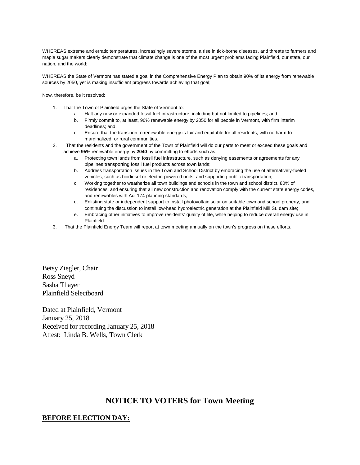WHEREAS extreme and erratic temperatures, increasingly severe storms, a rise in tick-borne diseases, and threats to farmers and maple sugar makers clearly demonstrate that climate change is one of the most urgent problems facing Plainfield, our state, our nation, and the world;

WHEREAS the State of Vermont has stated a goal in the Comprehensive Energy Plan to obtain 90% of its energy from renewable sources by 2050, yet is making insufficient progress towards achieving that goal;

Now, therefore, be it resolved:

- 1. That the Town of Plainfield urges the State of Vermont to:
	- a. Halt any new or expanded fossil fuel infrastructure, including but not limited to pipelines; and,
	- b. Firmly commit to, at least, 90% renewable energy by 2050 for all people in Vermont, with firm interim deadlines; and,
	- c. Ensure that the transition to renewable energy is fair and equitable for all residents, with no harm to marginalized, or rural communities.
- 2. That the residents and the government of the Town of Plainfield will do our parts to meet or exceed these goals and achieve **95%** renewable energy by **2040** by committing to efforts such as:
	- a. Protecting town lands from fossil fuel infrastructure, such as denying easements or agreements for any pipelines transporting fossil fuel products across town lands;
	- b. Address transportation issues in the Town and School District by embracing the use of alternatively-fueled vehicles, such as biodiesel or electric-powered units, and supporting public transportation;
	- c. Working together to weatherize all town buildings and schools in the town and school district, 80% of residences, and ensuring that all new construction and renovation comply with the current state energy codes, and renewables with Act 174 planning standards;
	- d. Enlisting state or independent support to install photovoltaic solar on suitable town and school property, and continuing the discussion to install low-head hydroelectric generation at the Plainfield Mill St. dam site;
	- e. Embracing other initiatives to improve residents' quality of life, while helping to reduce overall energy use in Plainfield.
- 3. That the Plainfield Energy Team will report at town meeting annually on the town's progress on these efforts.

Ross Sneyd Betsy Ziegler, Chair Betsy Ziegler, Chair Sasha Thayer Plainfield Selectboard

> Dated at Plainfield, Vermont January 25, 2018 Received for recording January 25, 2018 Attest: Linda B. Wells, Town Clerk

## **NOTICE TO VOTERS for Town Meeting**

## **BEFORE ELECTION DAY:**